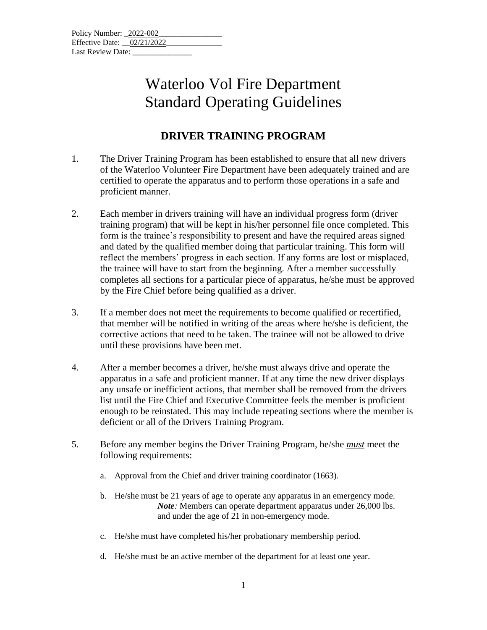| Policy Number: 2022-002    |  |  |
|----------------------------|--|--|
| Effective Date: 02/21/2022 |  |  |
| Last Review Date:          |  |  |

#### **DRIVER TRAINING PROGRAM**

- 1. The Driver Training Program has been established to ensure that all new drivers of the Waterloo Volunteer Fire Department have been adequately trained and are certified to operate the apparatus and to perform those operations in a safe and proficient manner.
- 2. Each member in drivers training will have an individual progress form (driver training program) that will be kept in his/her personnel file once completed. This form is the trainee's responsibility to present and have the required areas signed and dated by the qualified member doing that particular training. This form will reflect the members' progress in each section. If any forms are lost or misplaced, the trainee will have to start from the beginning. After a member successfully completes all sections for a particular piece of apparatus, he/she must be approved by the Fire Chief before being qualified as a driver.
- 3. If a member does not meet the requirements to become qualified or recertified, that member will be notified in writing of the areas where he/she is deficient, the corrective actions that need to be taken. The trainee will not be allowed to drive until these provisions have been met.
- 4. After a member becomes a driver, he/she must always drive and operate the apparatus in a safe and proficient manner. If at any time the new driver displays any unsafe or inefficient actions, that member shall be removed from the drivers list until the Fire Chief and Executive Committee feels the member is proficient enough to be reinstated. This may include repeating sections where the member is deficient or all of the Drivers Training Program.
- 5. Before any member begins the Driver Training Program, he/she *must* meet the following requirements:
	- a. Approval from the Chief and driver training coordinator (1663).
	- b. He/she must be 21 years of age to operate any apparatus in an emergency mode. *Note:* Members can operate department apparatus under 26,000 lbs. and under the age of 21 in non-emergency mode.
	- c. He/she must have completed his/her probationary membership period.
	- d. He/she must be an active member of the department for at least one year.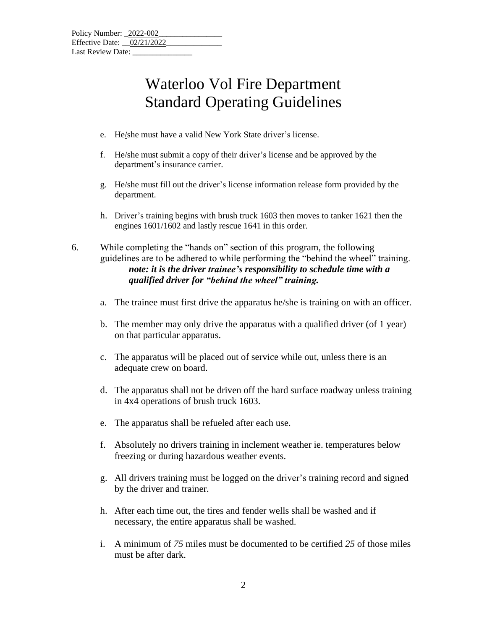- e. He/she must have a valid New York State driver's license.
- f. He/she must submit a copy of their driver's license and be approved by the department's insurance carrier.
- g. He/she must fill out the driver's license information release form provided by the department.
- h. Driver's training begins with brush truck 1603 then moves to tanker 1621 then the engines 1601/1602 and lastly rescue 1641 in this order.

6. While completing the "hands on" section of this program, the following guidelines are to be adhered to while performing the "behind the wheel" training. *note: it is the driver trainee's responsibility to schedule time with a qualified driver for "behind the wheel" training.*

- a. The trainee must first drive the apparatus he/she is training on with an officer.
- b. The member may only drive the apparatus with a qualified driver (of 1 year) on that particular apparatus.
- c. The apparatus will be placed out of service while out, unless there is an adequate crew on board.
- d. The apparatus shall not be driven off the hard surface roadway unless training in 4x4 operations of brush truck 1603.
- e. The apparatus shall be refueled after each use.
- f. Absolutely no drivers training in inclement weather ie. temperatures below freezing or during hazardous weather events.
- g. All drivers training must be logged on the driver's training record and signed by the driver and trainer.
- h. After each time out, the tires and fender wells shall be washed and if necessary, the entire apparatus shall be washed.
- i. A minimum of *75* miles must be documented to be certified *25* of those miles must be after dark.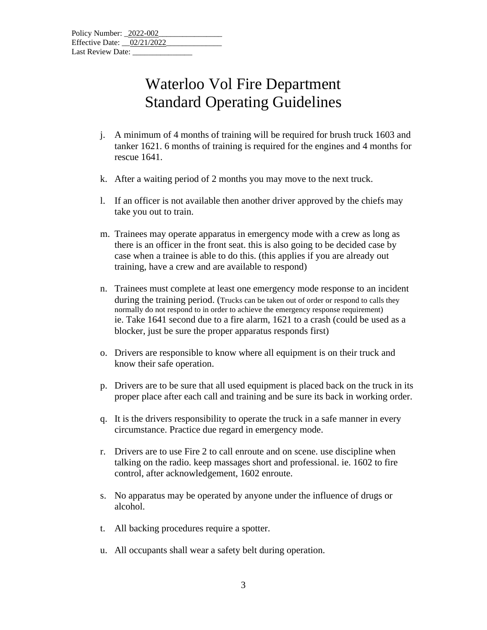- j. A minimum of 4 months of training will be required for brush truck 1603 and tanker 1621. 6 months of training is required for the engines and 4 months for rescue 1641.
- k. After a waiting period of 2 months you may move to the next truck.
- l. If an officer is not available then another driver approved by the chiefs may take you out to train.
- m. Trainees may operate apparatus in emergency mode with a crew as long as there is an officer in the front seat. this is also going to be decided case by case when a trainee is able to do this. (this applies if you are already out training, have a crew and are available to respond)
- n. Trainees must complete at least one emergency mode response to an incident during the training period. (Trucks can be taken out of order or respond to calls they normally do not respond to in order to achieve the emergency response requirement) ie. Take 1641 second due to a fire alarm, 1621 to a crash (could be used as a blocker, just be sure the proper apparatus responds first)
- o. Drivers are responsible to know where all equipment is on their truck and know their safe operation.
- p. Drivers are to be sure that all used equipment is placed back on the truck in its proper place after each call and training and be sure its back in working order.
- q. It is the drivers responsibility to operate the truck in a safe manner in every circumstance. Practice due regard in emergency mode.
- r. Drivers are to use Fire 2 to call enroute and on scene. use discipline when talking on the radio. keep massages short and professional. ie. 1602 to fire control, after acknowledgement, 1602 enroute.
- s. No apparatus may be operated by anyone under the influence of drugs or alcohol.
- t. All backing procedures require a spotter.
- u. All occupants shall wear a safety belt during operation.